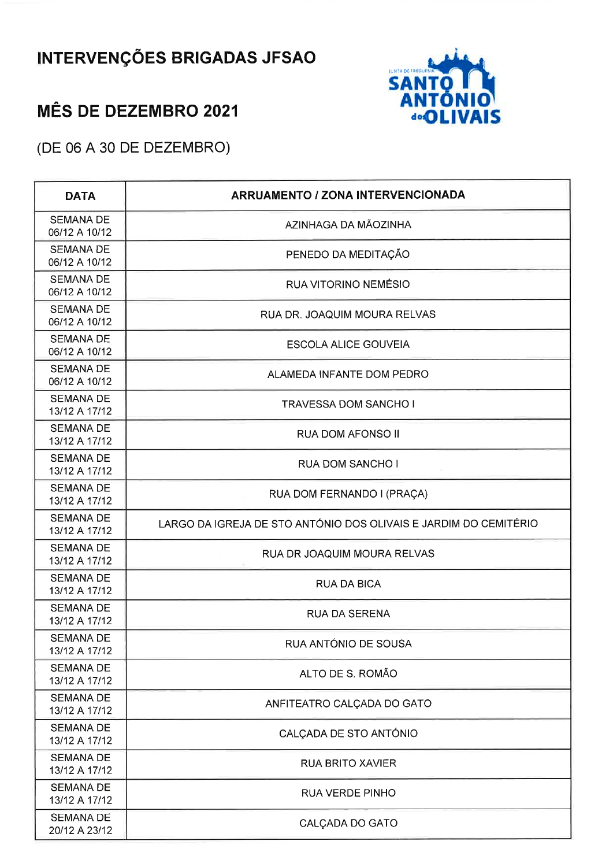## **INTERVENÇÕES BRIGADAS JFSAO**



## **MÊS DE DEZEMBRO 2021**

(DE 06 A 30 DE DEZEMBRO)

| <b>DATA</b>                       | <b>ARRUAMENTO / ZONA INTERVENCIONADA</b>                         |
|-----------------------------------|------------------------------------------------------------------|
| <b>SEMANA DE</b><br>06/12 A 10/12 | AZINHAGA DA MÃOZINHA                                             |
| <b>SEMANA DE</b><br>06/12 A 10/12 | PENEDO DA MEDITAÇÃO                                              |
| <b>SEMANA DE</b><br>06/12 A 10/12 | RUA VITORINO NEMÉSIO                                             |
| <b>SEMANA DE</b><br>06/12 A 10/12 | RUA DR. JOAQUIM MOURA RELVAS                                     |
| <b>SEMANA DE</b><br>06/12 A 10/12 | <b>ESCOLA ALICE GOUVEIA</b>                                      |
| <b>SEMANA DE</b><br>06/12 A 10/12 | ALAMEDA INFANTE DOM PEDRO                                        |
| <b>SEMANA DE</b><br>13/12 A 17/12 | <b>TRAVESSA DOM SANCHO I</b>                                     |
| <b>SEMANA DE</b><br>13/12 A 17/12 | RUA DOM AFONSO II                                                |
| <b>SEMANA DE</b><br>13/12 A 17/12 | <b>RUA DOM SANCHO I</b>                                          |
| <b>SEMANA DE</b><br>13/12 A 17/12 | RUA DOM FERNANDO I (PRAÇA)                                       |
| <b>SEMANA DE</b><br>13/12 A 17/12 | LARGO DA IGREJA DE STO ANTÓNIO DOS OLIVAIS E JARDIM DO CEMITÉRIO |
| <b>SEMANA DE</b><br>13/12 A 17/12 | RUA DR JOAQUIM MOURA RELVAS                                      |
| <b>SEMANA DE</b><br>13/12 A 17/12 | <b>RUA DA BICA</b>                                               |
| <b>SEMANA DE</b><br>13/12 A 17/12 | <b>RUA DA SERENA</b>                                             |
| <b>SEMANA DE</b><br>13/12 A 17/12 | RUA ANTÓNIO DE SOUSA                                             |
| <b>SEMANA DE</b><br>13/12 A 17/12 | ALTO DE S. ROMÃO                                                 |
| <b>SEMANA DE</b><br>13/12 A 17/12 | ANFITEATRO CALÇADA DO GATO                                       |
| <b>SEMANA DE</b><br>13/12 A 17/12 | CALÇADA DE STO ANTÓNIO                                           |
| <b>SEMANA DE</b><br>13/12 A 17/12 | <b>RUA BRITO XAVIER</b>                                          |
| <b>SEMANA DE</b><br>13/12 A 17/12 | <b>RUA VERDE PINHO</b>                                           |
| <b>SEMANA DE</b><br>20/12 A 23/12 | CALÇADA DO GATO                                                  |